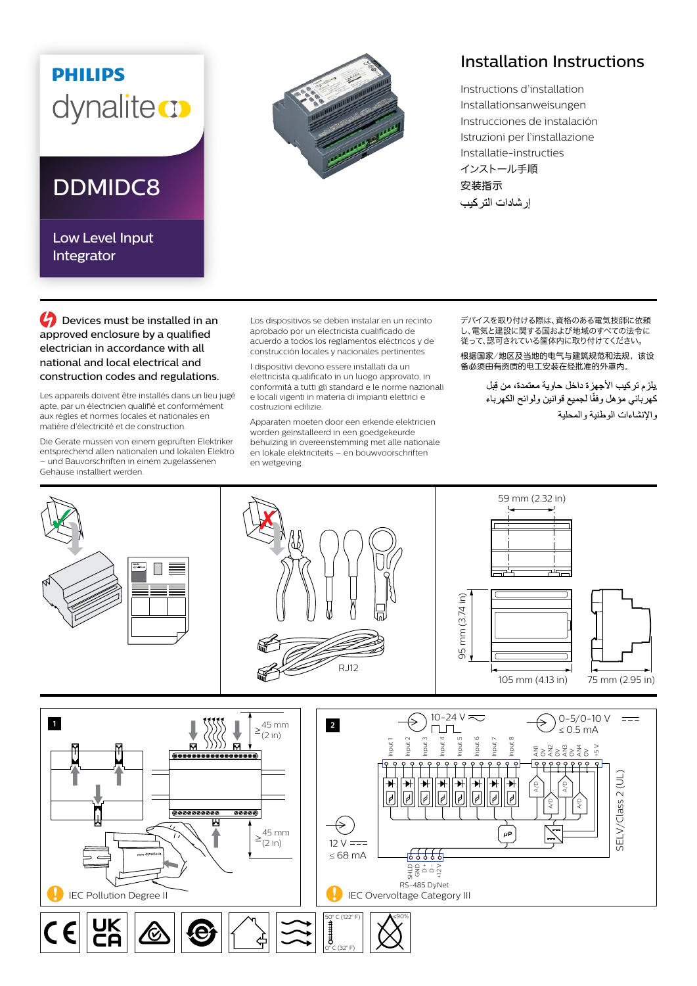## **PHILIPS** dynaliteco

## DDMIDC8

Low Level Input Integrator



## Installation Instructions

Instructions d'installation Installationsanweisungen Instrucciones de instalación Istruzioni per l'installazione Installatie-instructies インストール手順 安装指示 إر شادات التر كيب

**C** Devices must be installed in an approved enclosure by a qualified electrician in accordance with all national and local electrical and construction codes and regulations.

Les appareils doivent être installés dans un lieu jugé apte, par un électricien qualifié et conformément aux règles et normes locales et nationales en matière d'électricité et de construction.

Die Geräte müssen von einem geprüften Elektriker entsprechend allen nationalen und lokalen Elektro – und Bauvorschriften in einem zugelassenen Gehäuse installiert werden.

Los dispositivos se deben instalar en un recinto aprobado por un electricista cualificado de acuerdo a todos los reglamentos eléctricos y de construcción locales y nacionales pertinentes

I dispositivi devono essere installati da un elettricista qualificato in un luogo approvato, in conformità a tutti gli standard e le norme nazionali e locali vigenti in materia di impianti elettrici e costruzioni edilizie.

Apparaten moeten door een erkende elektricien worden geïnstalleerd in een goedgekeurde behuizing in overeenstemming met alle nationale en lokale elektriciteits – en bouwvoorschriften en wetgeving.

デバイスを取り付ける際は、資格のある電気技師に依頼 し、電気と建設に関する国および地域のすべての法令に 従って、認可されている筐体内に取り付けてください。

根据国家/地区及当地的电气与建筑规范和法规,该设 备必须由有资质的电工安装在经批准的外罩内。

> يلزم تركيب الأجهزة داخل حاوية معتمدة، من قِبل كهربائي مؤهل وفقًا لجميع قوانين ولوائح الكهرباء والإنشاءات الوطنية والمحلية